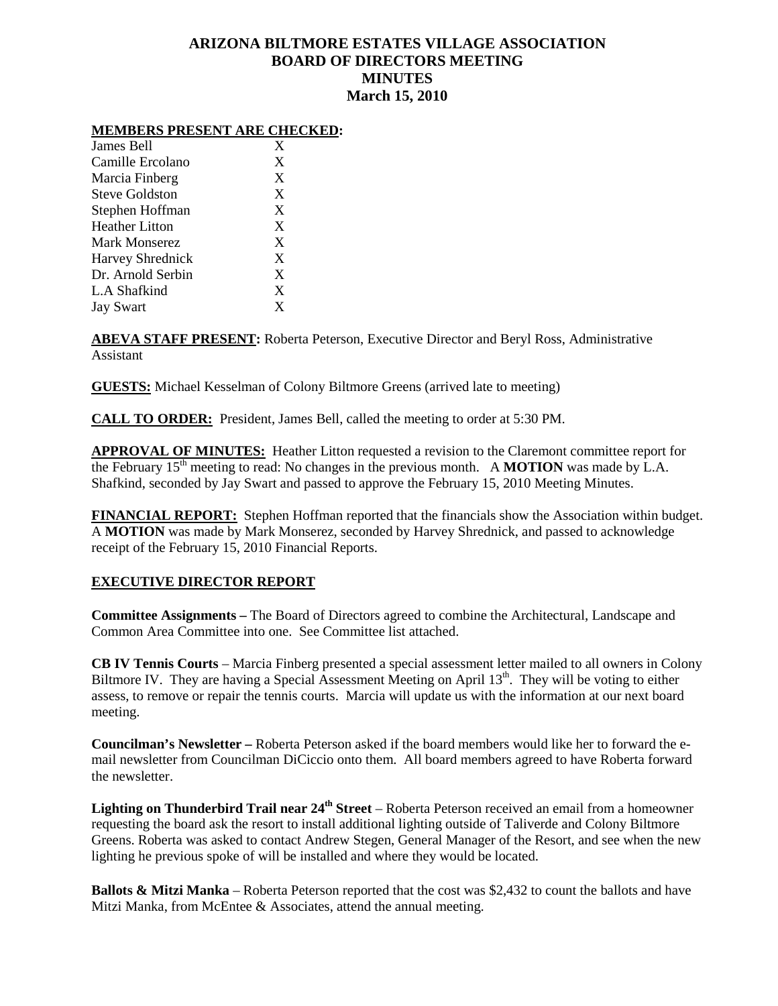## **ARIZONA BILTMORE ESTATES VILLAGE ASSOCIATION BOARD OF DIRECTORS MEETING MINUTES March 15, 2010**

## **MEMBERS PRESENT ARE CHECKED:**

| James Bell            | X |
|-----------------------|---|
| Camille Ercolano      | X |
| Marcia Finberg        | X |
| Steve Goldston        | X |
| Stephen Hoffman       | X |
| <b>Heather Litton</b> | X |
| <b>Mark Monserez</b>  | X |
| Harvey Shrednick      | X |
| Dr. Arnold Serbin     | X |
| L.A Shafkind          | X |
| <b>Jay Swart</b>      | X |

**ABEVA STAFF PRESENT:** Roberta Peterson, Executive Director and Beryl Ross, Administrative Assistant

**GUESTS:** Michael Kesselman of Colony Biltmore Greens (arrived late to meeting)

**CALL TO ORDER:** President, James Bell, called the meeting to order at 5:30 PM.

**APPROVAL OF MINUTES:** Heather Litton requested a revision to the Claremont committee report for the February  $15<sup>th</sup>$  meeting to read: No changes in the previous month. A **MOTION** was made by L.A. Shafkind, seconded by Jay Swart and passed to approve the February 15, 2010 Meeting Minutes.

**FINANCIAL REPORT:** Stephen Hoffman reported that the financials show the Association within budget. A **MOTION** was made by Mark Monserez, seconded by Harvey Shrednick, and passed to acknowledge receipt of the February 15, 2010 Financial Reports.

## **EXECUTIVE DIRECTOR REPORT**

**Committee Assignments –** The Board of Directors agreed to combine the Architectural, Landscape and Common Area Committee into one. See Committee list attached.

**CB IV Tennis Courts** – Marcia Finberg presented a special assessment letter mailed to all owners in Colony Biltmore IV. They are having a Special Assessment Meeting on April  $13<sup>th</sup>$ . They will be voting to either assess, to remove or repair the tennis courts. Marcia will update us with the information at our next board meeting.

**Councilman's Newsletter –** Roberta Peterson asked if the board members would like her to forward the email newsletter from Councilman DiCiccio onto them. All board members agreed to have Roberta forward the newsletter.

**Lighting on Thunderbird Trail near 24<sup>th</sup> Street** – Roberta Peterson received an email from a homeowner requesting the board ask the resort to install additional lighting outside of Taliverde and Colony Biltmore Greens. Roberta was asked to contact Andrew Stegen, General Manager of the Resort, and see when the new lighting he previous spoke of will be installed and where they would be located.

**Ballots & Mitzi Manka** – Roberta Peterson reported that the cost was \$2,432 to count the ballots and have Mitzi Manka, from McEntee & Associates, attend the annual meeting.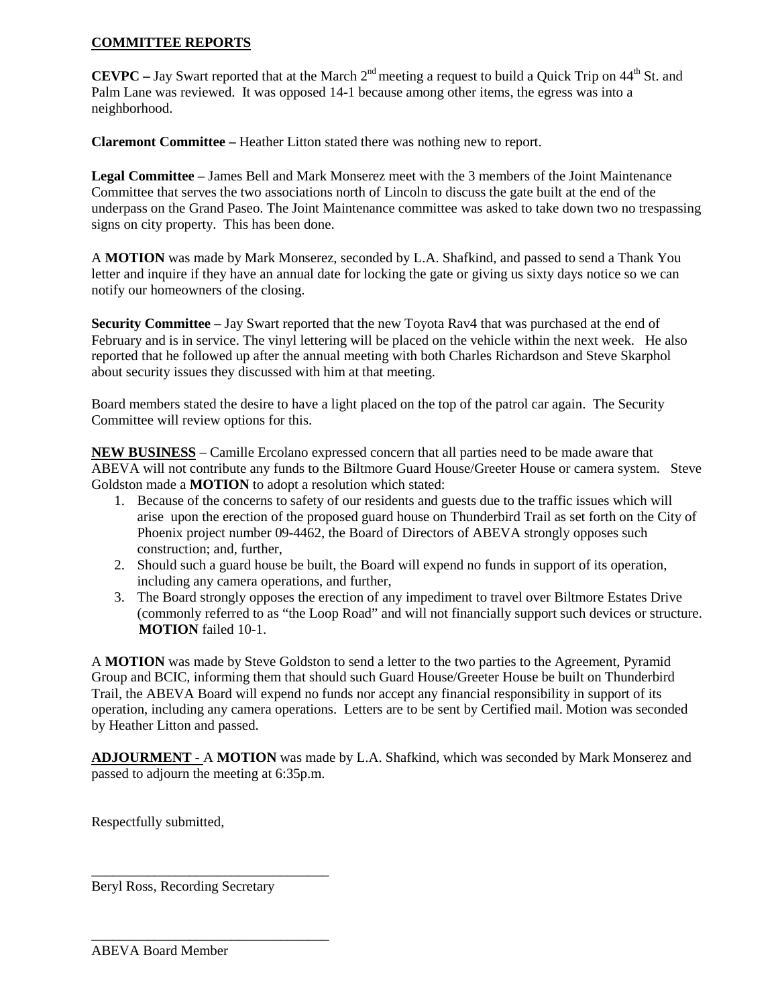## **COMMITTEE REPORTS**

**CEVPC** – Jay Swart reported that at the March 2<sup>nd</sup> meeting a request to build a Quick Trip on 44<sup>th</sup> St. and Palm Lane was reviewed. It was opposed 14-1 because among other items, the egress was into a neighborhood.

**Claremont Committee –** Heather Litton stated there was nothing new to report.

**Legal Committee** – James Bell and Mark Monserez meet with the 3 members of the Joint Maintenance Committee that serves the two associations north of Lincoln to discuss the gate built at the end of the underpass on the Grand Paseo. The Joint Maintenance committee was asked to take down two no trespassing signs on city property. This has been done.

A **MOTION** was made by Mark Monserez, seconded by L.A. Shafkind, and passed to send a Thank You letter and inquire if they have an annual date for locking the gate or giving us sixty days notice so we can notify our homeowners of the closing.

**Security Committee –** Jay Swart reported that the new Toyota Rav4 that was purchased at the end of February and is in service. The vinyl lettering will be placed on the vehicle within the next week. He also reported that he followed up after the annual meeting with both Charles Richardson and Steve Skarphol about security issues they discussed with him at that meeting.

Board members stated the desire to have a light placed on the top of the patrol car again. The Security Committee will review options for this.

**NEW BUSINESS** – Camille Ercolano expressed concern that all parties need to be made aware that ABEVA will not contribute any funds to the Biltmore Guard House/Greeter House or camera system. Steve Goldston made a **MOTION** to adopt a resolution which stated:

- 1. Because of the concerns to safety of our residents and guests due to the traffic issues which will arise upon the erection of the proposed guard house on Thunderbird Trail as set forth on the City of Phoenix project number 09-4462, the Board of Directors of ABEVA strongly opposes such construction; and, further,
- 2. Should such a guard house be built, the Board will expend no funds in support of its operation, including any camera operations, and further,
- 3. The Board strongly opposes the erection of any impediment to travel over Biltmore Estates Drive (commonly referred to as "the Loop Road" and will not financially support such devices or structure. **MOTION** failed 10-1.

A **MOTION** was made by Steve Goldston to send a letter to the two parties to the Agreement, Pyramid Group and BCIC, informing them that should such Guard House/Greeter House be built on Thunderbird Trail, the ABEVA Board will expend no funds nor accept any financial responsibility in support of its operation, including any camera operations. Letters are to be sent by Certified mail. Motion was seconded by Heather Litton and passed.

**ADJOURMENT -** A **MOTION** was made by L.A. Shafkind, which was seconded by Mark Monserez and passed to adjourn the meeting at 6:35p.m.

Respectfully submitted,

Beryl Ross, Recording Secretary

\_\_\_\_\_\_\_\_\_\_\_\_\_\_\_\_\_\_\_\_\_\_\_\_\_\_\_\_\_\_\_\_\_\_

\_\_\_\_\_\_\_\_\_\_\_\_\_\_\_\_\_\_\_\_\_\_\_\_\_\_\_\_\_\_\_\_\_\_